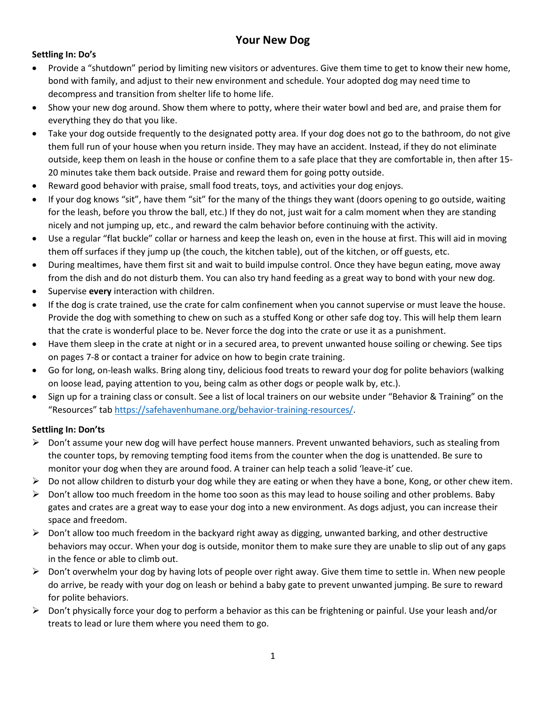# **Your New Dog**

# **Settling In: Do's**

- Provide a "shutdown" period by limiting new visitors or adventures. Give them time to get to know their new home, bond with family, and adjust to their new environment and schedule. Your adopted dog may need time to decompress and transition from shelter life to home life.
- Show your new dog around. Show them where to potty, where their water bowl and bed are, and praise them for everything they do that you like.
- Take your dog outside frequently to the designated potty area. If your dog does not go to the bathroom, do not give them full run of your house when you return inside. They may have an accident. Instead, if they do not eliminate outside, keep them on leash in the house or confine them to a safe place that they are comfortable in, then after 15- 20 minutes take them back outside. Praise and reward them for going potty outside.
- Reward good behavior with praise, small food treats, toys, and activities your dog enjoys.
- If your dog knows "sit", have them "sit" for the many of the things they want (doors opening to go outside, waiting for the leash, before you throw the ball, etc.) If they do not, just wait for a calm moment when they are standing nicely and not jumping up, etc., and reward the calm behavior before continuing with the activity.
- Use a regular "flat buckle" collar or harness and keep the leash on, even in the house at first. This will aid in moving them off surfaces if they jump up (the couch, the kitchen table), out of the kitchen, or off guests, etc.
- During mealtimes, have them first sit and wait to build impulse control. Once they have begun eating, move away from the dish and do not disturb them. You can also try hand feeding as a great way to bond with your new dog.
- Supervise **every** interaction with children.
- If the dog is crate trained, use the crate for calm confinement when you cannot supervise or must leave the house. Provide the dog with something to chew on such as a stuffed Kong or other safe dog toy. This will help them learn that the crate is wonderful place to be. Never force the dog into the crate or use it as a punishment.
- Have them sleep in the crate at night or in a secured area, to prevent unwanted house soiling or chewing. See tips on pages 7-8 or contact a trainer for advice on how to begin crate training.
- Go for long, on-leash walks. Bring along tiny, delicious food treats to reward your dog for polite behaviors (walking on loose lead, paying attention to you, being calm as other dogs or people walk by, etc.).
- Sign up for a training class or consult. See a list of local trainers on our website under "Behavior & Training" on the "Resources" tab [https://safehavenhumane.org/behavior-training-resources/.](https://safehavenhumane.org/behavior-training-resources/)

# **Settling In: Don'ts**

- ➢ Don't assume your new dog will have perfect house manners. Prevent unwanted behaviors, such as stealing from the counter tops, by removing tempting food items from the counter when the dog is unattended. Be sure to monitor your dog when they are around food. A trainer can help teach a solid 'leave-it' cue.
- $\triangleright$  Do not allow children to disturb your dog while they are eating or when they have a bone, Kong, or other chew item.
- $\triangleright$  Don't allow too much freedom in the home too soon as this may lead to house soiling and other problems. Baby gates and crates are a great way to ease your dog into a new environment. As dogs adjust, you can increase their space and freedom.
- $\triangleright$  Don't allow too much freedom in the backyard right away as digging, unwanted barking, and other destructive behaviors may occur. When your dog is outside, monitor them to make sure they are unable to slip out of any gaps in the fence or able to climb out.
- $\triangleright$  Don't overwhelm your dog by having lots of people over right away. Give them time to settle in. When new people do arrive, be ready with your dog on leash or behind a baby gate to prevent unwanted jumping. Be sure to reward for polite behaviors.
- ➢ Don't physically force your dog to perform a behavior as this can be frightening or painful. Use your leash and/or treats to lead or lure them where you need them to go.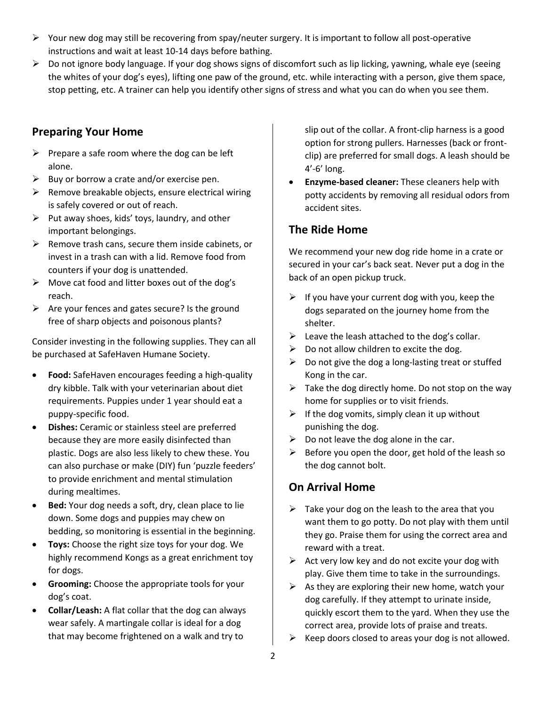- ➢ Your new dog may still be recovering from spay/neuter surgery. It is important to follow all post-operative instructions and wait at least 10-14 days before bathing.
- $\triangleright$  Do not ignore body language. If your dog shows signs of discomfort such as lip licking, yawning, whale eye (seeing the whites of your dog's eyes), lifting one paw of the ground, etc. while interacting with a person, give them space, stop petting, etc. A trainer can help you identify other signs of stress and what you can do when you see them.

# **Preparing Your Home**

- $\triangleright$  Prepare a safe room where the dog can be left alone.
- $\triangleright$  Buy or borrow a crate and/or exercise pen.
- $\triangleright$  Remove breakable objects, ensure electrical wiring is safely covered or out of reach.
- $\triangleright$  Put away shoes, kids' toys, laundry, and other important belongings.
- $\triangleright$  Remove trash cans, secure them inside cabinets, or invest in a trash can with a lid. Remove food from counters if your dog is unattended.
- $\triangleright$  Move cat food and litter boxes out of the dog's reach.
- $\triangleright$  Are your fences and gates secure? Is the ground free of sharp objects and poisonous plants?

Consider investing in the following supplies. They can all be purchased at SafeHaven Humane Society.

- **Food:** SafeHaven encourages feeding a high-quality dry kibble. Talk with your veterinarian about diet requirements. Puppies under 1 year should eat a puppy-specific food.
- **Dishes:** Ceramic or stainless steel are preferred because they are more easily disinfected than plastic. Dogs are also less likely to chew these. You can also purchase or make (DIY) fun 'puzzle feeders' to provide enrichment and mental stimulation during mealtimes.
- **Bed:** Your dog needs a soft, dry, clean place to lie down. Some dogs and puppies may chew on bedding, so monitoring is essential in the beginning.
- **Toys:** Choose the right size toys for your dog. We highly recommend Kongs as a great enrichment toy for dogs.
- **Grooming:** Choose the appropriate tools for your dog's coat.
- **Collar/Leash:** A flat collar that the dog can always wear safely. A martingale collar is ideal for a dog that may become frightened on a walk and try to

slip out of the collar. A front-clip harness is a good option for strong pullers. Harnesses (back or frontclip) are preferred for small dogs. A leash should be 4'-6' long.

• **Enzyme-based cleaner:** These cleaners help with potty accidents by removing all residual odors from accident sites.

# **The Ride Home**

We recommend your new dog ride home in a crate or secured in your car's back seat. Never put a dog in the back of an open pickup truck.

- $\triangleright$  If you have your current dog with you, keep the dogs separated on the journey home from the shelter.
- $\triangleright$  Leave the leash attached to the dog's collar.
- $\triangleright$  Do not allow children to excite the dog.
- $\triangleright$  Do not give the dog a long-lasting treat or stuffed Kong in the car.
- $\triangleright$  Take the dog directly home. Do not stop on the way home for supplies or to visit friends.
- $\triangleright$  If the dog vomits, simply clean it up without punishing the dog.
- $\triangleright$  Do not leave the dog alone in the car.
- $\triangleright$  Before you open the door, get hold of the leash so the dog cannot bolt.

# **On Arrival Home**

- $\triangleright$  Take your dog on the leash to the area that you want them to go potty. Do not play with them until they go. Praise them for using the correct area and reward with a treat.
- $\triangleright$  Act very low key and do not excite your dog with play. Give them time to take in the surroundings.
- $\triangleright$  As they are exploring their new home, watch your dog carefully. If they attempt to urinate inside, quickly escort them to the yard. When they use the correct area, provide lots of praise and treats.
- Keep doors closed to areas your dog is not allowed.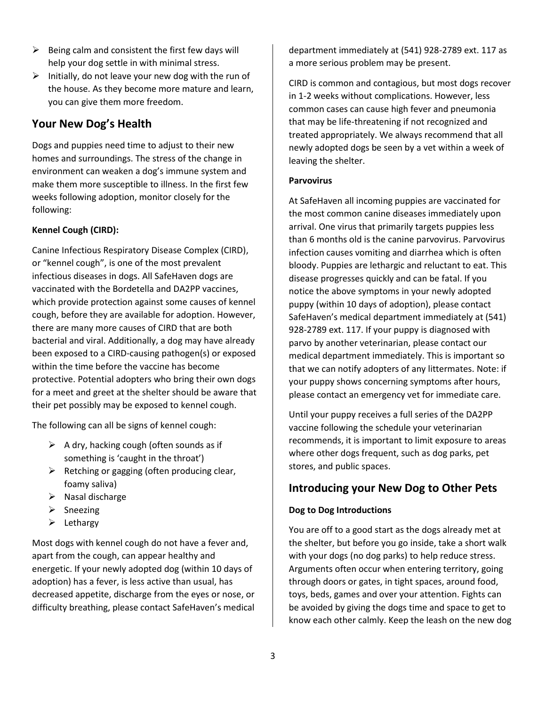- $\triangleright$  Being calm and consistent the first few days will help your dog settle in with minimal stress.
- $\triangleright$  Initially, do not leave your new dog with the run of the house. As they become more mature and learn, you can give them more freedom.

# **Your New Dog's Health**

Dogs and puppies need time to adjust to their new homes and surroundings. The stress of the change in environment can weaken a dog's immune system and make them more susceptible to illness. In the first few weeks following adoption, monitor closely for the following:

# **Kennel Cough (CIRD):**

Canine Infectious Respiratory Disease Complex (CIRD), or "kennel cough", is one of the most prevalent infectious diseases in dogs. All SafeHaven dogs are vaccinated with the Bordetella and DA2PP vaccines, which provide protection against some causes of kennel cough, before they are available for adoption. However, there are many more causes of CIRD that are both bacterial and viral. Additionally, a dog may have already been exposed to a CIRD-causing pathogen(s) or exposed within the time before the vaccine has become protective. Potential adopters who bring their own dogs for a meet and greet at the shelter should be aware that their pet possibly may be exposed to kennel cough.

The following can all be signs of kennel cough:

- $\triangleright$  A dry, hacking cough (often sounds as if something is 'caught in the throat')
- $\triangleright$  Retching or gagging (often producing clear, foamy saliva)
- $\triangleright$  Nasal discharge
- ➢ Sneezing
- ➢ Lethargy

Most dogs with kennel cough do not have a fever and, apart from the cough, can appear healthy and energetic. If your newly adopted dog (within 10 days of adoption) has a fever, is less active than usual, has decreased appetite, discharge from the eyes or nose, or difficulty breathing, please contact SafeHaven's medical

department immediately at (541) 928-2789 ext. 117 as a more serious problem may be present.

CIRD is common and contagious, but most dogs recover in 1-2 weeks without complications. However, less common cases can cause high fever and pneumonia that may be life-threatening if not recognized and treated appropriately. We always recommend that all newly adopted dogs be seen by a vet within a week of leaving the shelter.

# **Parvovirus**

At SafeHaven all incoming puppies are vaccinated for the most common canine diseases immediately upon arrival. One virus that primarily targets puppies less than 6 months old is the canine parvovirus. Parvovirus infection causes vomiting and diarrhea which is often bloody. Puppies are lethargic and reluctant to eat. This disease progresses quickly and can be fatal. If you notice the above symptoms in your newly adopted puppy (within 10 days of adoption), please contact SafeHaven's medical department immediately at (541) 928-2789 ext. 117. If your puppy is diagnosed with parvo by another veterinarian, please contact our medical department immediately. This is important so that we can notify adopters of any littermates. Note: if your puppy shows concerning symptoms after hours, please contact an emergency vet for immediate care.

Until your puppy receives a full series of the DA2PP vaccine following the schedule your veterinarian recommends, it is important to limit exposure to areas where other dogs frequent, such as dog parks, pet stores, and public spaces.

# **Introducing your New Dog to Other Pets**

# **Dog to Dog Introductions**

You are off to a good start as the dogs already met at the shelter, but before you go inside, take a short walk with your dogs (no dog parks) to help reduce stress. Arguments often occur when entering territory, going through doors or gates, in tight spaces, around food, toys, beds, games and over your attention. Fights can be avoided by giving the dogs time and space to get to know each other calmly. Keep the leash on the new dog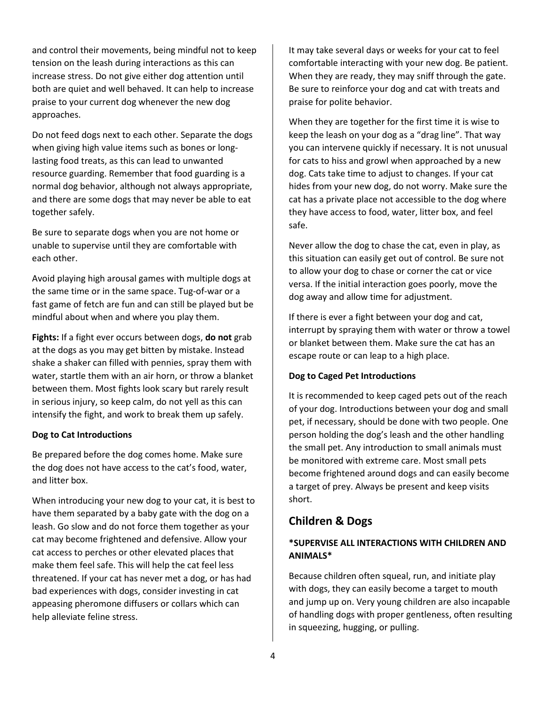and control their movements, being mindful not to keep tension on the leash during interactions as this can increase stress. Do not give either dog attention until both are quiet and well behaved. It can help to increase praise to your current dog whenever the new dog approaches.

Do not feed dogs next to each other. Separate the dogs when giving high value items such as bones or longlasting food treats, as this can lead to unwanted resource guarding. Remember that food guarding is a normal dog behavior, although not always appropriate, and there are some dogs that may never be able to eat together safely.

Be sure to separate dogs when you are not home or unable to supervise until they are comfortable with each other.

Avoid playing high arousal games with multiple dogs at the same time or in the same space. Tug-of-war or a fast game of fetch are fun and can still be played but be mindful about when and where you play them.

**Fights:** If a fight ever occurs between dogs, **do not** grab at the dogs as you may get bitten by mistake. Instead shake a shaker can filled with pennies, spray them with water, startle them with an air horn, or throw a blanket between them. Most fights look scary but rarely result in serious injury, so keep calm, do not yell as this can intensify the fight, and work to break them up safely.

#### **Dog to Cat Introductions**

Be prepared before the dog comes home. Make sure the dog does not have access to the cat's food, water, and litter box.

When introducing your new dog to your cat, it is best to have them separated by a baby gate with the dog on a leash. Go slow and do not force them together as your cat may become frightened and defensive. Allow your cat access to perches or other elevated places that make them feel safe. This will help the cat feel less threatened. If your cat has never met a dog, or has had bad experiences with dogs, consider investing in cat appeasing pheromone diffusers or collars which can help alleviate feline stress.

It may take several days or weeks for your cat to feel comfortable interacting with your new dog. Be patient. When they are ready, they may sniff through the gate. Be sure to reinforce your dog and cat with treats and praise for polite behavior.

When they are together for the first time it is wise to keep the leash on your dog as a "drag line". That way you can intervene quickly if necessary. It is not unusual for cats to hiss and growl when approached by a new dog. Cats take time to adjust to changes. If your cat hides from your new dog, do not worry. Make sure the cat has a private place not accessible to the dog where they have access to food, water, litter box, and feel safe.

Never allow the dog to chase the cat, even in play, as this situation can easily get out of control. Be sure not to allow your dog to chase or corner the cat or vice versa. If the initial interaction goes poorly, move the dog away and allow time for adjustment.

If there is ever a fight between your dog and cat, interrupt by spraying them with water or throw a towel or blanket between them. Make sure the cat has an escape route or can leap to a high place.

#### **Dog to Caged Pet Introductions**

It is recommended to keep caged pets out of the reach of your dog. Introductions between your dog and small pet, if necessary, should be done with two people. One person holding the dog's leash and the other handling the small pet. Any introduction to small animals must be monitored with extreme care. Most small pets become frightened around dogs and can easily become a target of prey. Always be present and keep visits short.

# **Children & Dogs**

# **\*SUPERVISE ALL INTERACTIONS WITH CHILDREN AND ANIMALS\***

Because children often squeal, run, and initiate play with dogs, they can easily become a target to mouth and jump up on. Very young children are also incapable of handling dogs with proper gentleness, often resulting in squeezing, hugging, or pulling.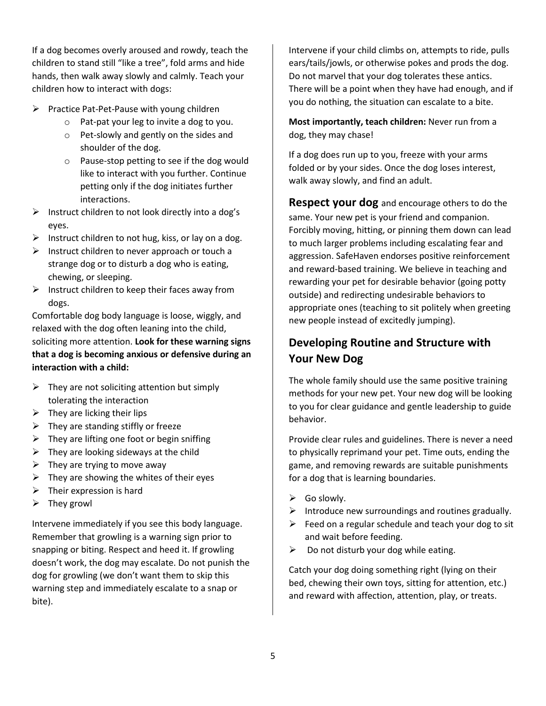If a dog becomes overly aroused and rowdy, teach the children to stand still "like a tree", fold arms and hide hands, then walk away slowly and calmly. Teach your children how to interact with dogs:

- ➢ Practice Pat-Pet-Pause with young children
	- o Pat-pat your leg to invite a dog to you.
	- o Pet-slowly and gently on the sides and shoulder of the dog.
	- o Pause-stop petting to see if the dog would like to interact with you further. Continue petting only if the dog initiates further interactions.
- ➢ Instruct children to not look directly into a dog's eyes.
- $\triangleright$  Instruct children to not hug, kiss, or lay on a dog.
- $\triangleright$  Instruct children to never approach or touch a strange dog or to disturb a dog who is eating, chewing, or sleeping.
- $\triangleright$  Instruct children to keep their faces away from dogs.

Comfortable dog body language is loose, wiggly, and relaxed with the dog often leaning into the child, soliciting more attention. **Look for these warning signs that a dog is becoming anxious or defensive during an interaction with a child:**

- $\triangleright$  They are not soliciting attention but simply tolerating the interaction
- $\triangleright$  They are licking their lips
- $\triangleright$  They are standing stiffly or freeze
- $\triangleright$  They are lifting one foot or begin sniffing
- $\triangleright$  They are looking sideways at the child
- $\triangleright$  They are trying to move away
- $\triangleright$  They are showing the whites of their eyes
- $\triangleright$  Their expression is hard
- ➢ They growl

Intervene immediately if you see this body language. Remember that growling is a warning sign prior to snapping or biting. Respect and heed it. If growling doesn't work, the dog may escalate. Do not punish the dog for growling (we don't want them to skip this warning step and immediately escalate to a snap or bite).

Intervene if your child climbs on, attempts to ride, pulls ears/tails/jowls, or otherwise pokes and prods the dog. Do not marvel that your dog tolerates these antics. There will be a point when they have had enough, and if you do nothing, the situation can escalate to a bite.

**Most importantly, teach children:** Never run from a dog, they may chase!

If a dog does run up to you, freeze with your arms folded or by your sides. Once the dog loses interest, walk away slowly, and find an adult.

**Respect your dog** and encourage others to do the same. Your new pet is your friend and companion. Forcibly moving, hitting, or pinning them down can lead to much larger problems including escalating fear and aggression. SafeHaven endorses positive reinforcement and reward-based training. We believe in teaching and rewarding your pet for desirable behavior (going potty outside) and redirecting undesirable behaviors to appropriate ones (teaching to sit politely when greeting new people instead of excitedly jumping).

# **Developing Routine and Structure with Your New Dog**

The whole family should use the same positive training methods for your new pet. Your new dog will be looking to you for clear guidance and gentle leadership to guide behavior.

Provide clear rules and guidelines. There is never a need to physically reprimand your pet. Time outs, ending the game, and removing rewards are suitable punishments for a dog that is learning boundaries.

- $\triangleright$  Go slowly.
- $\triangleright$  Introduce new surroundings and routines gradually.
- $\triangleright$  Feed on a regular schedule and teach your dog to sit and wait before feeding.
- $\triangleright$  Do not disturb your dog while eating.

Catch your dog doing something right (lying on their bed, chewing their own toys, sitting for attention, etc.) and reward with affection, attention, play, or treats.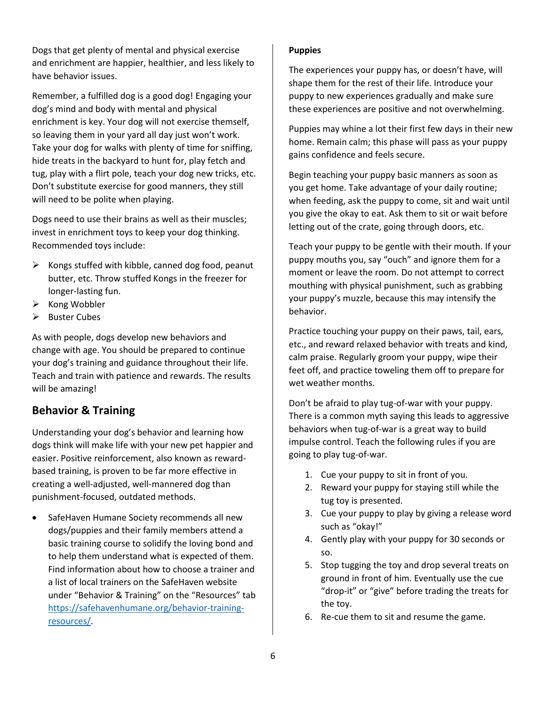Dogs that get plenty of mental and physical exercise and enrichment are happier, healthier, and less likely to have behavior issues.

Remember, a fulfilled dog is a good dog! Engaging your dog's mind and body with mental and physical enrichment is key. Your dog will not exercise themself, so leaving them in your yard all day just won't work. Take your dog for walks with plenty of time for sniffing, hide treats in the backyard to hunt for, play fetch and tug, play with a flirt pole, teach your dog new tricks, etc. Don't substitute exercise for good manners, they still will need to be polite when playing.

Dogs need to use their brains as well as their muscles; invest in enrichment toys to keep your dog thinking. Recommended toys include:

- $\triangleright$  Kongs stuffed with kibble, canned dog food, peanut butter, etc. Throw stuffed Kongs in the freezer for longer-lasting fun.
- ➢ Kong Wobbler
- ➢ Buster Cubes

As with people, dogs develop new behaviors and change with age. You should be prepared to continue your dog's training and guidance throughout their life. Teach and train with patience and rewards. The results will be amazing!

# **Behavior & Training**

Understanding your dog's behavior and learning how dogs think will make life with your new pet happier and easier. Positive reinforcement, also known as rewardbased training, is proven to be far more effective in creating a well-adjusted, well-mannered dog than punishment-focused, outdated methods.

• SafeHaven Humane Society recommends all new dogs/puppies and their family members attend a basic training course to solidify the loving bond and to help them understand what is expected of them. Find information about how to choose a trainer and a list of local trainers on the SafeHaven website under "Behavior & Training" on the "Resources" tab [https://safehavenhumane.org/behavior-training](https://safehavenhumane.org/behavior-training-resources/)[resources/.](https://safehavenhumane.org/behavior-training-resources/)

#### **Puppies**

The experiences your puppy has, or doesn't have, will shape them for the rest of their life. Introduce your puppy to new experiences gradually and make sure these experiences are positive and not overwhelming.

Puppies may whine a lot their first few days in their new home. Remain calm; this phase will pass as your puppy gains confidence and feels secure.

Begin teaching your puppy basic manners as soon as you get home. Take advantage of your daily routine; when feeding, ask the puppy to come, sit and wait until you give the okay to eat. Ask them to sit or wait before letting out of the crate, going through doors, etc.

Teach your puppy to be gentle with their mouth. If your puppy mouths you, say "ouch" and ignore them for a moment or leave the room. Do not attempt to correct mouthing with physical punishment, such as grabbing your puppy's muzzle, because this may intensify the behavior.

Practice touching your puppy on their paws, tail, ears, etc., and reward relaxed behavior with treats and kind, calm praise. Regularly groom your puppy, wipe their feet off, and practice toweling them off to prepare for wet weather months.

Don't be afraid to play tug-of-war with your puppy. There is a common myth saying this leads to aggressive behaviors when tug-of-war is a great way to build impulse control. Teach the following rules if you are going to play tug-of-war.

- 1. Cue your puppy to sit in front of you.
- 2. Reward your puppy for staying still while the tug toy is presented.
- 3. Cue your puppy to play by giving a release word such as "okay!"
- 4. Gently play with your puppy for 30 seconds or so.
- 5. Stop tugging the toy and drop several treats on ground in front of him. Eventually use the cue "drop-it" or "give" before trading the treats for the toy.
- 6. Re-cue them to sit and resume the game.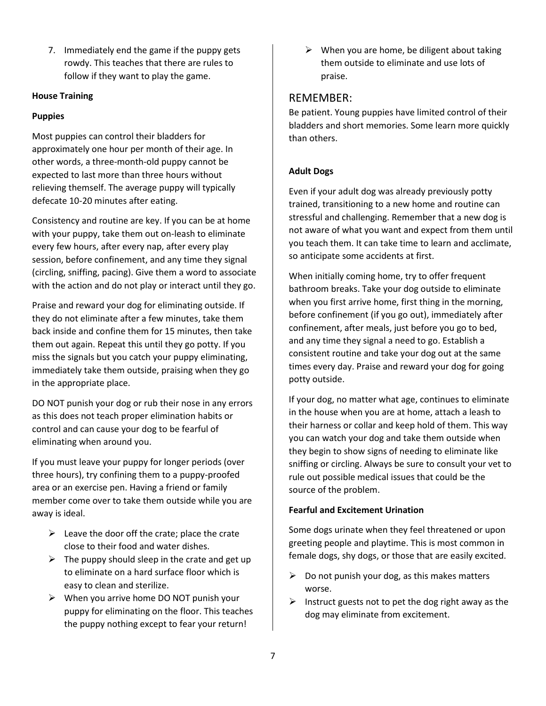7. Immediately end the game if the puppy gets rowdy. This teaches that there are rules to follow if they want to play the game.

### **House Training**

## **Puppies**

Most puppies can control their bladders for approximately one hour per month of their age. In other words, a three-month-old puppy cannot be expected to last more than three hours without relieving themself. The average puppy will typically defecate 10-20 minutes after eating.

Consistency and routine are key. If you can be at home with your puppy, take them out on-leash to eliminate every few hours, after every nap, after every play session, before confinement, and any time they signal (circling, sniffing, pacing). Give them a word to associate with the action and do not play or interact until they go.

Praise and reward your dog for eliminating outside. If they do not eliminate after a few minutes, take them back inside and confine them for 15 minutes, then take them out again. Repeat this until they go potty. If you miss the signals but you catch your puppy eliminating, immediately take them outside, praising when they go in the appropriate place.

DO NOT punish your dog or rub their nose in any errors as this does not teach proper elimination habits or control and can cause your dog to be fearful of eliminating when around you.

If you must leave your puppy for longer periods (over three hours), try confining them to a puppy-proofed area or an exercise pen. Having a friend or family member come over to take them outside while you are away is ideal.

- $\triangleright$  Leave the door off the crate; place the crate close to their food and water dishes.
- $\triangleright$  The puppy should sleep in the crate and get up to eliminate on a hard surface floor which is easy to clean and sterilize.
- $\triangleright$  When you arrive home DO NOT punish your puppy for eliminating on the floor. This teaches the puppy nothing except to fear your return!

 $\triangleright$  When you are home, be diligent about taking them outside to eliminate and use lots of praise.

# REMEMBER:

Be patient. Young puppies have limited control of their bladders and short memories. Some learn more quickly than others.

# **Adult Dogs**

Even if your adult dog was already previously potty trained, transitioning to a new home and routine can stressful and challenging. Remember that a new dog is not aware of what you want and expect from them until you teach them. It can take time to learn and acclimate, so anticipate some accidents at first.

When initially coming home, try to offer frequent bathroom breaks. Take your dog outside to eliminate when you first arrive home, first thing in the morning, before confinement (if you go out), immediately after confinement, after meals, just before you go to bed, and any time they signal a need to go. Establish a consistent routine and take your dog out at the same times every day. Praise and reward your dog for going potty outside.

If your dog, no matter what age, continues to eliminate in the house when you are at home, attach a leash to their harness or collar and keep hold of them. This way you can watch your dog and take them outside when they begin to show signs of needing to eliminate like sniffing or circling. Always be sure to consult your vet to rule out possible medical issues that could be the source of the problem.

#### **Fearful and Excitement Urination**

Some dogs urinate when they feel threatened or upon greeting people and playtime. This is most common in female dogs, shy dogs, or those that are easily excited.

- $\triangleright$  Do not punish your dog, as this makes matters worse.
- $\triangleright$  Instruct guests not to pet the dog right away as the dog may eliminate from excitement.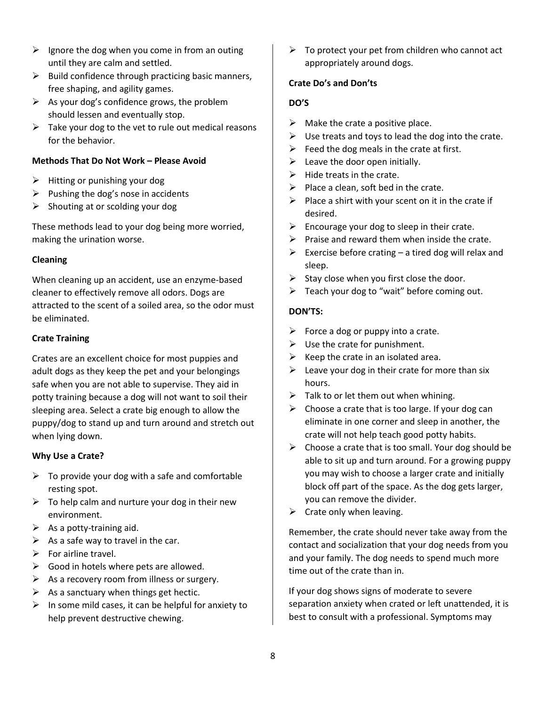- $\triangleright$  Ignore the dog when you come in from an outing until they are calm and settled.
- $\triangleright$  Build confidence through practicing basic manners, free shaping, and agility games.
- $\triangleright$  As your dog's confidence grows, the problem should lessen and eventually stop.
- $\triangleright$  Take your dog to the vet to rule out medical reasons for the behavior.

## **Methods That Do Not Work – Please Avoid**

- $\triangleright$  Hitting or punishing your dog
- $\triangleright$  Pushing the dog's nose in accidents
- $\triangleright$  Shouting at or scolding your dog

These methods lead to your dog being more worried, making the urination worse.

### **Cleaning**

When cleaning up an accident, use an enzyme-based cleaner to effectively remove all odors. Dogs are attracted to the scent of a soiled area, so the odor must be eliminated.

### **Crate Training**

Crates are an excellent choice for most puppies and adult dogs as they keep the pet and your belongings safe when you are not able to supervise. They aid in potty training because a dog will not want to soil their sleeping area. Select a crate big enough to allow the puppy/dog to stand up and turn around and stretch out when lying down.

#### **Why Use a Crate?**

- $\triangleright$  To provide your dog with a safe and comfortable resting spot.
- $\triangleright$  To help calm and nurture your dog in their new environment.
- $\triangleright$  As a potty-training aid.
- $\triangleright$  As a safe way to travel in the car.
- ➢ For airline travel.
- $\triangleright$  Good in hotels where pets are allowed.
- $\triangleright$  As a recovery room from illness or surgery.
- $\triangleright$  As a sanctuary when things get hectic.
- $\triangleright$  In some mild cases, it can be helpful for anxiety to help prevent destructive chewing.

 $\triangleright$  To protect your pet from children who cannot act appropriately around dogs.

#### **Crate Do's and Don'ts**

### **DO'S**

- $\triangleright$  Make the crate a positive place.
- $\triangleright$  Use treats and toys to lead the dog into the crate.
- $\triangleright$  Feed the dog meals in the crate at first.
- $\triangleright$  Leave the door open initially.
- $\triangleright$  Hide treats in the crate.
- $\triangleright$  Place a clean, soft bed in the crate.
- $\triangleright$  Place a shirt with your scent on it in the crate if desired.
- $\triangleright$  Encourage your dog to sleep in their crate.
- $\triangleright$  Praise and reward them when inside the crate.
- $\triangleright$  Exercise before crating a tired dog will relax and sleep.
- $\triangleright$  Stay close when you first close the door.
- $\triangleright$  Teach your dog to "wait" before coming out.

#### **DON'TS:**

- $\triangleright$  Force a dog or puppy into a crate.
- $\triangleright$  Use the crate for punishment.
- $\triangleright$  Keep the crate in an isolated area.
- $\triangleright$  Leave your dog in their crate for more than six hours.
- $\triangleright$  Talk to or let them out when whining.
- $\triangleright$  Choose a crate that is too large. If your dog can eliminate in one corner and sleep in another, the crate will not help teach good potty habits.
- $\triangleright$  Choose a crate that is too small. Your dog should be able to sit up and turn around. For a growing puppy you may wish to choose a larger crate and initially block off part of the space. As the dog gets larger, you can remove the divider.
- $\triangleright$  Crate only when leaving.

Remember, the crate should never take away from the contact and socialization that your dog needs from you and your family. The dog needs to spend much more time out of the crate than in.

If your dog shows signs of moderate to severe separation anxiety when crated or left unattended, it is best to consult with a professional. Symptoms may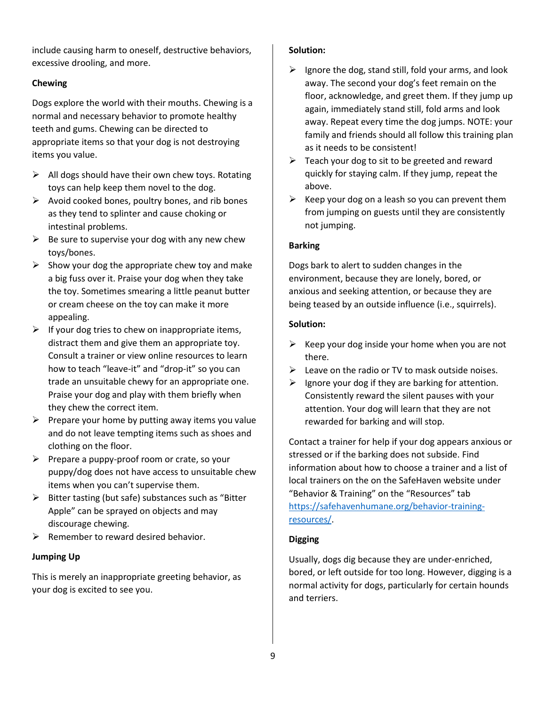include causing harm to oneself, destructive behaviors, excessive drooling, and more.

# **Chewing**

Dogs explore the world with their mouths. Chewing is a normal and necessary behavior to promote healthy teeth and gums. Chewing can be directed to appropriate items so that your dog is not destroying items you value.

- $\triangleright$  All dogs should have their own chew toys. Rotating toys can help keep them novel to the dog.
- $\triangleright$  Avoid cooked bones, poultry bones, and rib bones as they tend to splinter and cause choking or intestinal problems.
- $\triangleright$  Be sure to supervise your dog with any new chew toys/bones.
- $\triangleright$  Show your dog the appropriate chew toy and make a big fuss over it. Praise your dog when they take the toy. Sometimes smearing a little peanut butter or cream cheese on the toy can make it more appealing.
- $\triangleright$  If your dog tries to chew on inappropriate items, distract them and give them an appropriate toy. Consult a trainer or view online resources to learn how to teach "leave-it" and "drop-it" so you can trade an unsuitable chewy for an appropriate one. Praise your dog and play with them briefly when they chew the correct item.
- $\triangleright$  Prepare your home by putting away items you value and do not leave tempting items such as shoes and clothing on the floor.
- $\triangleright$  Prepare a puppy-proof room or crate, so your puppy/dog does not have access to unsuitable chew items when you can't supervise them.
- ➢ Bitter tasting (but safe) substances such as "Bitter Apple" can be sprayed on objects and may discourage chewing.
- $\triangleright$  Remember to reward desired behavior.

# **Jumping Up**

This is merely an inappropriate greeting behavior, as your dog is excited to see you.

# **Solution:**

- $\triangleright$  Ignore the dog, stand still, fold your arms, and look away. The second your dog's feet remain on the floor, acknowledge, and greet them. If they jump up again, immediately stand still, fold arms and look away. Repeat every time the dog jumps. NOTE: your family and friends should all follow this training plan as it needs to be consistent!
- $\triangleright$  Teach your dog to sit to be greeted and reward quickly for staying calm. If they jump, repeat the above.
- $\triangleright$  Keep your dog on a leash so you can prevent them from jumping on guests until they are consistently not jumping.

# **Barking**

Dogs bark to alert to sudden changes in the environment, because they are lonely, bored, or anxious and seeking attention, or because they are being teased by an outside influence (i.e., squirrels).

# **Solution:**

- $\triangleright$  Keep your dog inside your home when you are not there.
- $\triangleright$  Leave on the radio or TV to mask outside noises.
- $\triangleright$  Ignore your dog if they are barking for attention. Consistently reward the silent pauses with your attention. Your dog will learn that they are not rewarded for barking and will stop.

Contact a trainer for help if your dog appears anxious or stressed or if the barking does not subside. Find information about how to choose a trainer and a list of local trainers on the on the SafeHaven website under "Behavior & Training" on the "Resources" tab [https://safehavenhumane.org/behavior-training](https://safehavenhumane.org/behavior-training-resources/)[resources/.](https://safehavenhumane.org/behavior-training-resources/)

# **Digging**

Usually, dogs dig because they are under-enriched, bored, or left outside for too long. However, digging is a normal activity for dogs, particularly for certain hounds and terriers.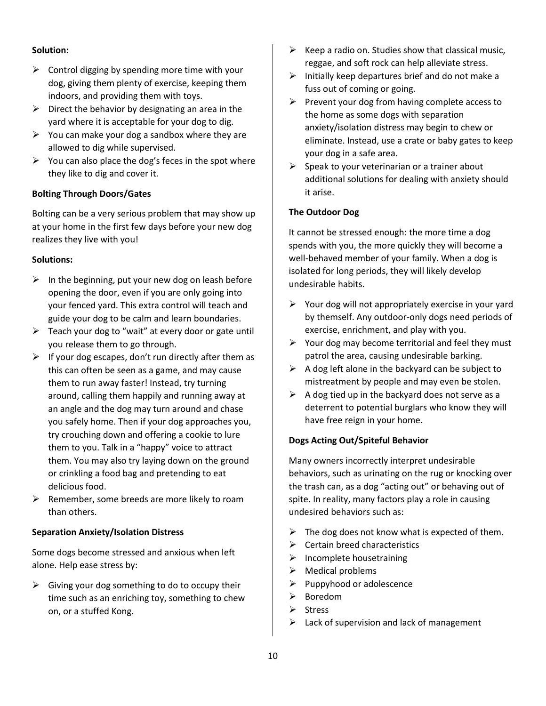### **Solution:**

- $\triangleright$  Control digging by spending more time with your dog, giving them plenty of exercise, keeping them indoors, and providing them with toys.
- $\triangleright$  Direct the behavior by designating an area in the yard where it is acceptable for your dog to dig.
- $\triangleright$  You can make your dog a sandbox where they are allowed to dig while supervised.
- $\triangleright$  You can also place the dog's feces in the spot where they like to dig and cover it.

# **Bolting Through Doors/Gates**

Bolting can be a very serious problem that may show up at your home in the first few days before your new dog realizes they live with you!

# **Solutions:**

- $\triangleright$  In the beginning, put your new dog on leash before opening the door, even if you are only going into your fenced yard. This extra control will teach and guide your dog to be calm and learn boundaries.
- $\triangleright$  Teach your dog to "wait" at every door or gate until you release them to go through.
- $\triangleright$  If your dog escapes, don't run directly after them as this can often be seen as a game, and may cause them to run away faster! Instead, try turning around, calling them happily and running away at an angle and the dog may turn around and chase you safely home. Then if your dog approaches you, try crouching down and offering a cookie to lure them to you. Talk in a "happy" voice to attract them. You may also try laying down on the ground or crinkling a food bag and pretending to eat delicious food.
- $\triangleright$  Remember, some breeds are more likely to roam than others.

# **Separation Anxiety/Isolation Distress**

Some dogs become stressed and anxious when left alone. Help ease stress by:

 $\triangleright$  Giving your dog something to do to occupy their time such as an enriching toy, something to chew on, or a stuffed Kong.

- $\triangleright$  Keep a radio on. Studies show that classical music, reggae, and soft rock can help alleviate stress.
- $\triangleright$  Initially keep departures brief and do not make a fuss out of coming or going.
- $\triangleright$  Prevent your dog from having complete access to the home as some dogs with separation anxiety/isolation distress may begin to chew or eliminate. Instead, use a crate or baby gates to keep your dog in a safe area.
- $\triangleright$  Speak to your veterinarian or a trainer about additional solutions for dealing with anxiety should it arise.

# **The Outdoor Dog**

It cannot be stressed enough: the more time a dog spends with you, the more quickly they will become a well-behaved member of your family. When a dog is isolated for long periods, they will likely develop undesirable habits.

- $\triangleright$  Your dog will not appropriately exercise in your yard by themself. Any outdoor-only dogs need periods of exercise, enrichment, and play with you.
- $\triangleright$  Your dog may become territorial and feel they must patrol the area, causing undesirable barking.
- $\triangleright$  A dog left alone in the backyard can be subject to mistreatment by people and may even be stolen.
- $\triangleright$  A dog tied up in the backyard does not serve as a deterrent to potential burglars who know they will have free reign in your home.

# **Dogs Acting Out/Spiteful Behavior**

Many owners incorrectly interpret undesirable behaviors, such as urinating on the rug or knocking over the trash can, as a dog "acting out" or behaving out of spite. In reality, many factors play a role in causing undesired behaviors such as:

- $\triangleright$  The dog does not know what is expected of them.
- $\triangleright$  Certain breed characteristics
- $\triangleright$  Incomplete housetraining
- ➢ Medical problems
- $\triangleright$  Puppyhood or adolescence
- ➢ Boredom
- ➢ Stress
- Lack of supervision and lack of management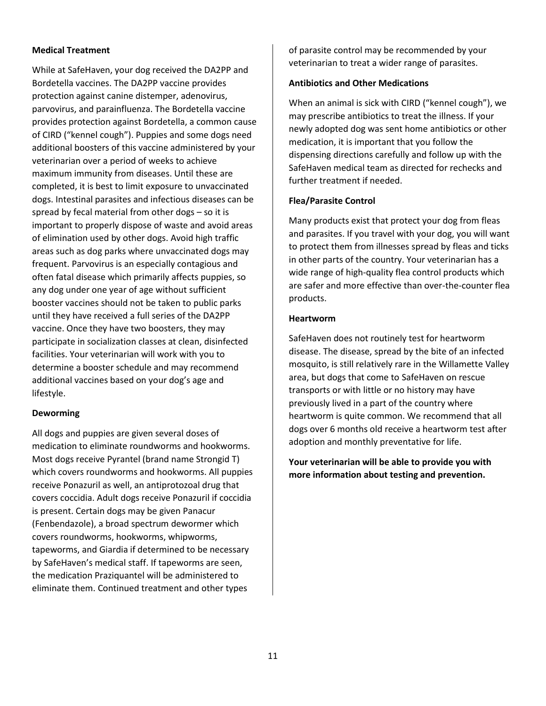### **Medical Treatment**

While at SafeHaven, your dog received the DA2PP and Bordetella vaccines. The DA2PP vaccine provides protection against canine distemper, adenovirus, parvovirus, and parainfluenza. The Bordetella vaccine provides protection against Bordetella, a common cause of CIRD ("kennel cough"). Puppies and some dogs need additional boosters of this vaccine administered by your veterinarian over a period of weeks to achieve maximum immunity from diseases. Until these are completed, it is best to limit exposure to unvaccinated dogs. Intestinal parasites and infectious diseases can be spread by fecal material from other dogs – so it is important to properly dispose of waste and avoid areas of elimination used by other dogs. Avoid high traffic areas such as dog parks where unvaccinated dogs may frequent. Parvovirus is an especially contagious and often fatal disease which primarily affects puppies, so any dog under one year of age without sufficient booster vaccines should not be taken to public parks until they have received a full series of the DA2PP vaccine. Once they have two boosters, they may participate in socialization classes at clean, disinfected facilities. Your veterinarian will work with you to determine a booster schedule and may recommend additional vaccines based on your dog's age and lifestyle.

#### **Deworming**

All dogs and puppies are given several doses of medication to eliminate roundworms and hookworms. Most dogs receive Pyrantel (brand name Strongid T) which covers roundworms and hookworms. All puppies receive Ponazuril as well, an antiprotozoal drug that covers coccidia. Adult dogs receive Ponazuril if coccidia is present. Certain dogs may be given Panacur (Fenbendazole), a broad spectrum dewormer which covers roundworms, hookworms, whipworms, tapeworms, and Giardia if determined to be necessary by SafeHaven's medical staff. If tapeworms are seen, the medication Praziquantel will be administered to eliminate them. Continued treatment and other types

of parasite control may be recommended by your veterinarian to treat a wider range of parasites.

#### **Antibiotics and Other Medications**

When an animal is sick with CIRD ("kennel cough"), we may prescribe antibiotics to treat the illness. If your newly adopted dog was sent home antibiotics or other medication, it is important that you follow the dispensing directions carefully and follow up with the SafeHaven medical team as directed for rechecks and further treatment if needed.

#### **Flea/Parasite Control**

Many products exist that protect your dog from fleas and parasites. If you travel with your dog, you will want to protect them from illnesses spread by fleas and ticks in other parts of the country. Your veterinarian has a wide range of high-quality flea control products which are safer and more effective than over-the-counter flea products.

#### **Heartworm**

SafeHaven does not routinely test for heartworm disease. The disease, spread by the bite of an infected mosquito, is still relatively rare in the Willamette Valley area, but dogs that come to SafeHaven on rescue transports or with little or no history may have previously lived in a part of the country where heartworm is quite common. We recommend that all dogs over 6 months old receive a heartworm test after adoption and monthly preventative for life.

**Your veterinarian will be able to provide you with more information about testing and prevention.**